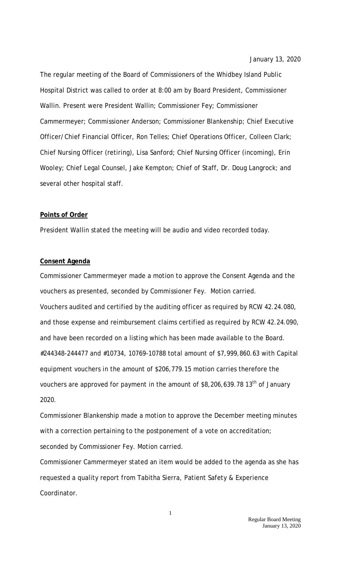January 13, 2020

The regular meeting of the Board of Commissioners of the Whidbey Island Public Hospital District was called to order at 8:00 am by Board President, Commissioner Wallin. Present were President Wallin; Commissioner Fey; Commissioner Cammermeyer; Commissioner Anderson; Commissioner Blankenship; Chief Executive Officer/Chief Financial Officer, Ron Telles; Chief Operations Officer, Colleen Clark; Chief Nursing Officer (retiring), Lisa Sanford; Chief Nursing Officer (incoming), Erin Wooley; Chief Legal Counsel, Jake Kempton; Chief of Staff, Dr. Doug Langrock; and several other hospital staff.

# **Points of Order**

President Wallin stated the meeting will be audio and video recorded today.

### **Consent Agenda**

Commissioner Cammermeyer made a motion to approve the Consent Agenda and the vouchers as presented, seconded by Commissioner Fey. Motion carried. Vouchers audited and certified by the auditing officer as required by RCW 42.24.080, and those expense and reimbursement claims certified as required by RCW 42.24.090, and have been recorded on a listing which has been made available to the Board. #244348-244477 and #10734, 10769-10788 total amount of \$7,999,860.63 with Capital equipment vouchers in the amount of \$206,779.15 motion carries therefore the vouchers are approved for payment in the amount of \$8,206,639.78 13<sup>th</sup> of January 2020.

Commissioner Blankenship made a motion to approve the December meeting minutes with a correction pertaining to the postponement of a vote on accreditation; seconded by Commissioner Fey. Motion carried.

Commissioner Cammermeyer stated an item would be added to the agenda as she has requested a quality report from Tabitha Sierra, Patient Safety & Experience Coordinator.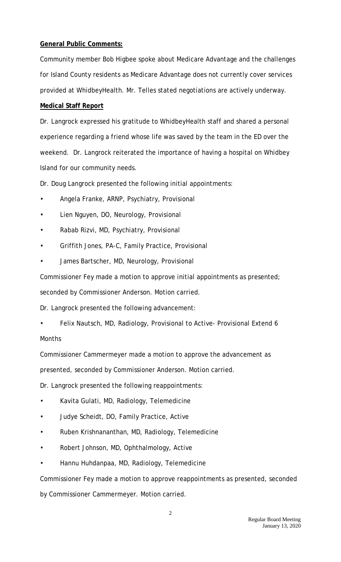# **General Public Comments:**

Community member Bob Higbee spoke about Medicare Advantage and the challenges for Island County residents as Medicare Advantage does not currently cover services provided at WhidbeyHealth. Mr. Telles stated negotiations are actively underway.

# **Medical Staff Report**

Dr. Langrock expressed his gratitude to WhidbeyHealth staff and shared a personal experience regarding a friend whose life was saved by the team in the ED over the weekend. Dr. Langrock reiterated the importance of having a hospital on Whidbey Island for our community needs.

Dr. Doug Langrock presented the following initial appointments:

- Angela Franke, ARNP, Psychiatry, Provisional
- Lien Nguyen, DO, Neurology, Provisional
- Rabab Rizvi, MD, Psychiatry, Provisional
- Griffith Jones, PA-C, Family Practice, Provisional
- James Bartscher, MD, Neurology, Provisional

Commissioner Fey made a motion to approve initial appointments as presented;

seconded by Commissioner Anderson. Motion carried.

Dr. Langrock presented the following advancement:

• Felix Nautsch, MD, Radiology, Provisional to Active- Provisional Extend 6 Months

Commissioner Cammermeyer made a motion to approve the advancement as

presented, seconded by Commissioner Anderson. Motion carried.

Dr. Langrock presented the following reappointments:

- Kavita Gulati, MD, Radiology, Telemedicine
- Judye Scheidt, DO, Family Practice, Active
- Ruben Krishnananthan, MD, Radiology, Telemedicine
- Robert Johnson, MD, Ophthalmology, Active
- Hannu Huhdanpaa, MD, Radiology, Telemedicine

Commissioner Fey made a motion to approve reappointments as presented, seconded by Commissioner Cammermeyer. Motion carried.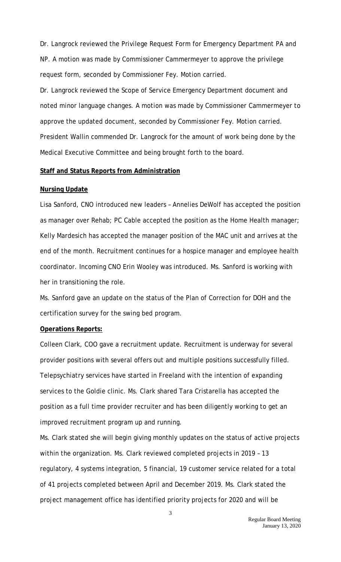Dr. Langrock reviewed the Privilege Request Form for Emergency Department PA and NP. A motion was made by Commissioner Cammermeyer to approve the privilege request form, seconded by Commissioner Fey. Motion carried.

Dr. Langrock reviewed the Scope of Service Emergency Department document and noted minor language changes. A motion was made by Commissioner Cammermeyer to approve the updated document, seconded by Commissioner Fey. Motion carried. President Wallin commended Dr. Langrock for the amount of work being done by the Medical Executive Committee and being brought forth to the board.

# **Staff and Status Reports from Administration**

### **Nursing Update**

Lisa Sanford, CNO introduced new leaders – Annelies DeWolf has accepted the position as manager over Rehab; PC Cable accepted the position as the Home Health manager; Kelly Mardesich has accepted the manager position of the MAC unit and arrives at the end of the month. Recruitment continues for a hospice manager and employee health coordinator. Incoming CNO Erin Wooley was introduced. Ms. Sanford is working with her in transitioning the role.

Ms. Sanford gave an update on the status of the Plan of Correction for DOH and the certification survey for the swing bed program.

### **Operations Reports:**

Colleen Clark, COO gave a recruitment update. Recruitment is underway for several provider positions with several offers out and multiple positions successfully filled. Telepsychiatry services have started in Freeland with the intention of expanding services to the Goldie clinic. Ms. Clark shared Tara Cristarella has accepted the position as a full time provider recruiter and has been diligently working to get an improved recruitment program up and running.

Ms. Clark stated she will begin giving monthly updates on the status of active projects within the organization. Ms. Clark reviewed completed projects in 2019 – 13 regulatory, 4 systems integration, 5 financial, 19 customer service related for a total of 41 projects completed between April and December 2019. Ms. Clark stated the project management office has identified priority projects for 2020 and will be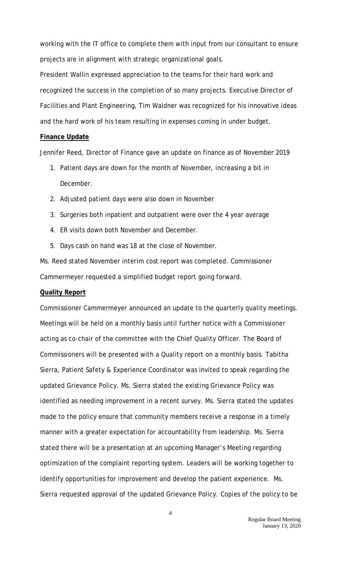working with the IT office to complete them with input from our consultant to ensure projects are in alignment with strategic organizational goals.

President Wallin expressed appreciation to the teams for their hard work and recognized the success in the completion of so many projects. Executive Director of Facilities and Plant Engineering, Tim Waldner was recognized for his innovative ideas and the hard work of his team resulting in expenses coming in under budget.

### **Finance Update**

Jennifer Reed, Director of Finance gave an update on finance as of November 2019

- 1. Patient days are down for the month of November, increasing a bit in December.
- 2. Adjusted patient days were also down in November
- 3. Surgeries both inpatient and outpatient were over the 4 year average
- 4. ER visits down both November and December.
- 5. Days cash on hand was 18 at the close of November.

Ms. Reed stated November interim cost report was completed. Commissioner Cammermeyer requested a simplified budget report going forward.

### **Quality Report**

Commissioner Cammermeyer announced an update to the quarterly quality meetings. Meetings will be held on a monthly basis until further notice with a Commissioner acting as co-chair of the committee with the Chief Quality Officer. The Board of Commissioners will be presented with a Quality report on a monthly basis. Tabitha Sierra, Patient Safety & Experience Coordinator was invited to speak regarding the updated Grievance Policy. Ms. Sierra stated the existing Grievance Policy was identified as needing improvement in a recent survey. Ms. Sierra stated the updates made to the policy ensure that community members receive a response in a timely manner with a greater expectation for accountability from leadership. Ms. Sierra stated there will be a presentation at an upcoming Manager's Meeting regarding optimization of the complaint reporting system. Leaders will be working together to identify opportunities for improvement and develop the patient experience. Ms. Sierra requested approval of the updated Grievance Policy. Copies of the policy to be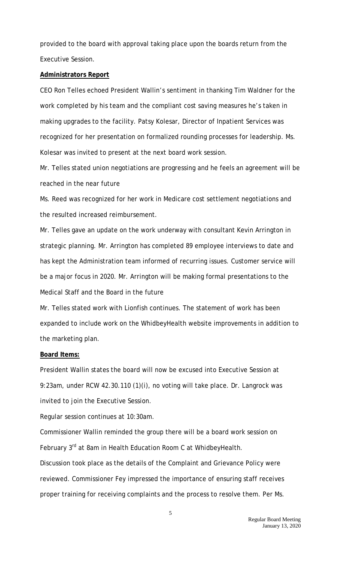provided to the board with approval taking place upon the boards return from the Executive Session.

### **Administrators Report**

CEO Ron Telles echoed President Wallin's sentiment in thanking Tim Waldner for the work completed by his team and the compliant cost saving measures he's taken in making upgrades to the facility. Patsy Kolesar, Director of Inpatient Services was recognized for her presentation on formalized rounding processes for leadership. Ms. Kolesar was invited to present at the next board work session.

Mr. Telles stated union negotiations are progressing and he feels an agreement will be reached in the near future

Ms. Reed was recognized for her work in Medicare cost settlement negotiations and the resulted increased reimbursement.

Mr. Telles gave an update on the work underway with consultant Kevin Arrington in strategic planning. Mr. Arrington has completed 89 employee interviews to date and has kept the Administration team informed of recurring issues. Customer service will be a major focus in 2020. Mr. Arrington will be making formal presentations to the Medical Staff and the Board in the future

Mr. Telles stated work with Lionfish continues. The statement of work has been expanded to include work on the WhidbeyHealth website improvements in addition to the marketing plan.

#### **Board Items:**

President Wallin states the board will now be excused into Executive Session at 9:23am, under RCW 42.30.110 (1)(i), no voting will take place. Dr. Langrock was invited to join the Executive Session.

Regular session continues at 10:30am.

Commissioner Wallin reminded the group there will be a board work session on February 3<sup>rd</sup> at 8am in Health Education Room C at WhidbeyHealth.

Discussion took place as the details of the Complaint and Grievance Policy were reviewed. Commissioner Fey impressed the importance of ensuring staff receives proper training for receiving complaints and the process to resolve them. Per Ms.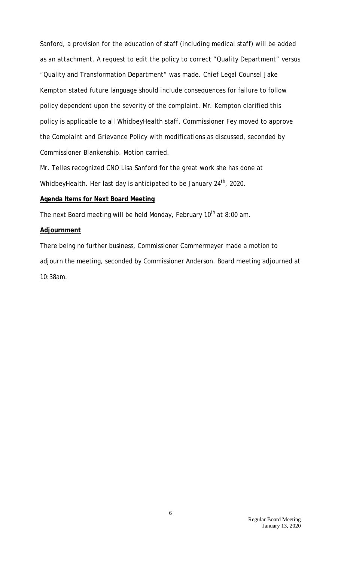Sanford, a provision for the education of staff (including medical staff) will be added as an attachment. A request to edit the policy to correct "Quality Department" versus "Quality and Transformation Department" was made. Chief Legal Counsel Jake Kempton stated future language should include consequences for failure to follow policy dependent upon the severity of the complaint. Mr. Kempton clarified this policy is applicable to all WhidbeyHealth staff. Commissioner Fey moved to approve the Complaint and Grievance Policy with modifications as discussed, seconded by Commissioner Blankenship. Motion carried.

Mr. Telles recognized CNO Lisa Sanford for the great work she has done at WhidbeyHealth. Her last day is anticipated to be January 24<sup>th</sup>, 2020.

# **Agenda Items for Next Board Meeting**

The next Board meeting will be held Monday, February  $10<sup>th</sup>$  at 8:00 am.

### **Adjournment**

There being no further business, Commissioner Cammermeyer made a motion to adjourn the meeting, seconded by Commissioner Anderson. Board meeting adjourned at 10:38am.